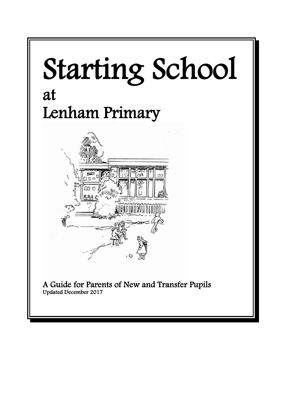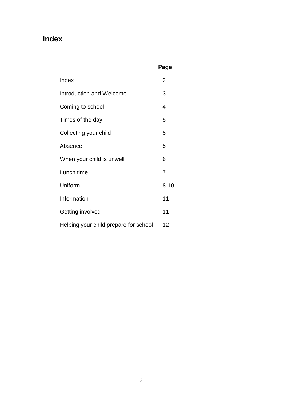# **Index**

# **Page**

| Index                                 | 2 |
|---------------------------------------|---|
| Introduction and Welcome              |   |
| Coming to school                      |   |
| Times of the day                      |   |
| Collecting your child                 |   |
| Absence                               | 5 |
| When your child is unwell             |   |
| Lunch time                            |   |
| Uniform                               |   |
| Information                           |   |
| Getting involved                      |   |
| Helping your child prepare for school |   |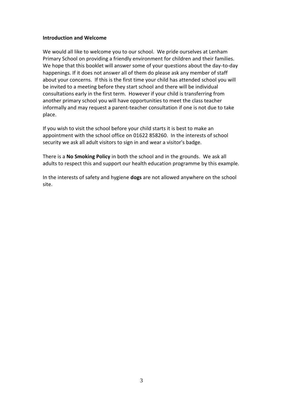#### **Introduction and Welcome**

We would all like to welcome you to our school. We pride ourselves at Lenham Primary School on providing a friendly environment for children and their families. We hope that this booklet will answer some of your questions about the day-to-day happenings. If it does not answer all of them do please ask any member of staff about your concerns. If this is the first time your child has attended school you will be invited to a meeting before they start school and there will be individual consultations early in the first term. However if your child is transferring from another primary school you will have opportunities to meet the class teacher informally and may request a parent-teacher consultation if one is not due to take place.

If you wish to visit the school before your child starts it is best to make an appointment with the school office on 01622 858260. In the interests of school security we ask all adult visitors to sign in and wear a visitor's badge.

There is a **No Smoking Policy** in both the school and in the grounds. We ask all adults to respect this and support our health education programme by this example.

In the interests of safety and hygiene **dogs** are not allowed anywhere on the school site.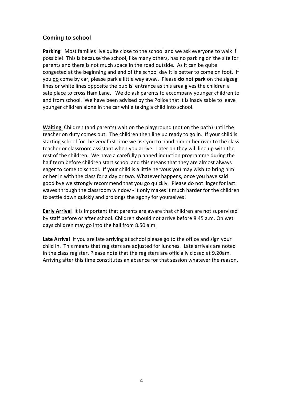# **Coming to school**

**Parking** Most families live quite close to the school and we ask everyone to walk if possible! This is because the school, like many others, has no parking on the site for parents and there is not much space in the road outside. As it can be quite congested at the beginning and end of the school day it is better to come on foot. If you do come by car, please park a little way away. Please **do not park** on the zigzag lines or white lines opposite the pupils' entrance as this area gives the children a safe place to cross Ham Lane. We do ask parents to accompany younger children to and from school. We have been advised by the Police that it is inadvisable to leave younger children alone in the car while taking a child into school.

**Waiting** Children (and parents) wait on the playground (not on the path) until the teacher on duty comes out. The children then line up ready to go in. If your child is starting school for the very first time we ask you to hand him or her over to the class teacher or classroom assistant when you arrive. Later on they will line up with the rest of the children. We have a carefully planned induction programme during the half term before children start school and this means that they are almost always eager to come to school. If your child is a little nervous you may wish to bring him or her in with the class for a day or two. Whatever happens, once you have said good bye we strongly recommend that you go quickly. Please do not linger for last waves through the classroom window - it only makes it much harder for the children to settle down quickly and prolongs the agony for yourselves!

**Early Arrival** It is important that parents are aware that children are not supervised by staff before or after school. Children should not arrive before 8.45 a.m. On wet days children may go into the hall from 8.50 a.m.

**Late Arrival** If you are late arriving at school please go to the office and sign your child in. This means that registers are adjusted for lunches. Late arrivals are noted in the class register. Please note that the registers are officially closed at 9.20am. Arriving after this time constitutes an absence for that session whatever the reason.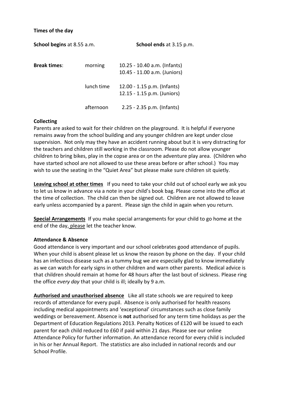#### **Times of the day**

| <b>School begins at 8.55 a.m.</b> |            | School ends at 3.15 p.m.                                     |  |
|-----------------------------------|------------|--------------------------------------------------------------|--|
| <b>Break times:</b>               | morning    | 10.25 - 10.40 a.m. (Infants)<br>10.45 - 11.00 a.m. (Juniors) |  |
|                                   | lunch time | 12.00 - 1.15 p.m. (Infants)<br>12.15 - 1.15 p.m. (Juniors)   |  |
|                                   | afternoon  | $2.25 - 2.35$ p.m. (Infants)                                 |  |

### **Collecting**

Parents are asked to wait for their children on the playground. It is helpful if everyone remains away from the school building and any younger children are kept under close supervision. Not only may they have an accident running about but it is very distracting for the teachers and children still working in the classroom. Please do not allow younger children to bring bikes, play in the copse area or on the adventure play area. (Children who have started school are not allowed to use these areas before or after school.) You may wish to use the seating in the "Quiet Area" but please make sure children sit quietly.

**Leaving school at other times** If you need to take your child out of school early we ask you to let us know in advance via a note in your child's book bag. Please come into the office at the time of collection. The child can then be signed out. Children are not allowed to leave early unless accompanied by a parent. Please sign the child in again when you return.

**Special Arrangements** If you make special arrangements for your child to go home at the end of the day, please let the teacher know.

### **Attendance & Absence**

Good attendance is very important and our school celebrates good attendance of pupils. When your child is absent please let us know the reason by phone on the day. If your child has an infectious disease such as a tummy bug we are especially glad to know immediately as we can watch for early signs in other children and warn other parents. Medical advice is that children should remain at home for 48 hours after the last bout of sickness. Please ring the office *every day* that your child is ill; ideally by 9 a.m.

**Authorised and unauthorised absence** Like all state schools we are required to keep records of attendance for every pupil. Absence is only authorised for health reasons including medical appointments and 'exceptional' circumstances such as close family weddings or bereavement. Absence is **not** authorised for any term time holidays as per the Department of Education Regulations 2013. Penalty Notices of £120 will be issued to each parent for each child reduced to £60 if paid within 21 days. Please see our online Attendance Policy for further information. An attendance record for every child is included in his or her Annual Report. The statistics are also included in national records and our School Profile.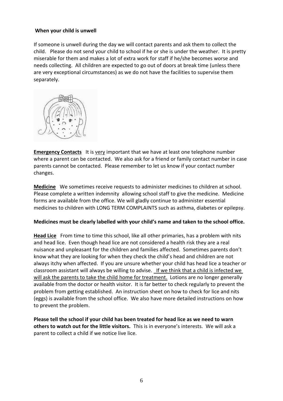# **When your child is unwell**

If someone is unwell during the day we will contact parents and ask them to collect the child. Please do not send your child to school if he or she is under the weather. It is pretty miserable for them and makes a lot of extra work for staff if he/she becomes worse and needs collecting. All children are expected to go out of doors at break time (unless there are very exceptional circumstances) as we do not have the facilities to supervise them separately.



**Emergency Contacts** It is very important that we have at least one telephone number where a parent can be contacted. We also ask for a friend or family contact number in case parents cannot be contacted. Please remember to let us know if your contact number changes.

**Medicine** We sometimes receive requests to administer medicines to children at school. Please complete a written indemnity allowing school staff to give the medicine. Medicine forms are available from the office. We will gladly continue to administer essential medicines to children with LONG TERM COMPLAINTS such as asthma, diabetes or epilepsy.

### **Medicines must be clearly labelled with your child's name and taken to the school office.**

**Head Lice** From time to time this school, like all other primaries, has a problem with nits and head lice. Even though head lice are not considered a health risk they are a real nuisance and unpleasant for the children and families affected. Sometimes parents don't know what they are looking for when they check the child's head and children are not always itchy when affected. If you are unsure whether your child has head lice a teacher or classroom assistant will always be willing to advise. If we think that a child is infected we will ask the parents to take the child home for treatment. Lotions are no longer generally available from the doctor or health visitor. It is far better to check regularly to prevent the problem from getting established. An instruction sheet on how to check for lice and nits (eggs) is available from the school office. We also have more detailed instructions on how to prevent the problem.

**Please tell the school if your child has been treated for head lice as we need to warn others to watch out for the little visitors.** This is in everyone's interests. We will ask a parent to collect a child if we notice live lice.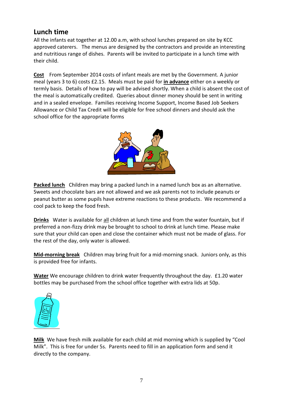# **Lunch time**

All the infants eat together at 12.00 a.m, with school lunches prepared on site by KCC approved caterers. The menus are designed by the contractors and provide an interesting and nutritious range of dishes. Parents will be invited to participate in a lunch time with their child.

**Cost** From September 2014 costs of infant meals are met by the Government. A junior meal (years 3 to 6) costs £2.15. Meals must be paid for **in advance** either on a weekly or termly basis. Details of how to pay will be advised shortly. When a child is absent the cost of the meal is automatically credited. Queries about dinner money should be sent in writing and in a sealed envelope. Families receiving Income Support, Income Based Job Seekers Allowance or Child Tax Credit will be eligible for free school dinners and should ask the school office for the appropriate forms



**Packed lunch** Children may bring a packed lunch in a named lunch box as an alternative. Sweets and chocolate bars are not allowed and we ask parents not to include peanuts or peanut butter as some pupils have extreme reactions to these products. We recommend a cool pack to keep the food fresh.

**Drinks** Water is available for all children at lunch time and from the water fountain, but if preferred a non-fizzy drink may be brought to school to drink at lunch time. Please make sure that your child can open and close the container which must not be made of glass. For the rest of the day, only water is allowed.

**Mid-morning break** Children may bring fruit for a mid-morning snack. Juniors only, as this is provided free for infants.

**Water** We encourage children to drink water frequently throughout the day. £1.20 water bottles may be purchased from the school office together with extra lids at 50p.



**Milk** We have fresh milk available for each child at mid morning which is supplied by "Cool Milk". This is free for under 5s. Parents need to fill in an application form and send it directly to the company.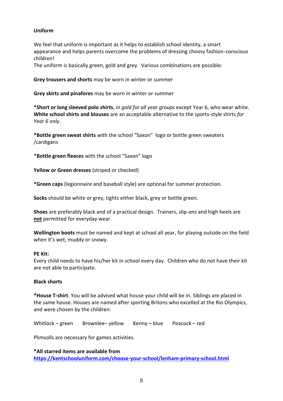# **Uniform**

We feel that uniform is important as it helps to establish school identity, a smart appearance and helps parents overcome the problems of dressing choosy fashion-conscious children!

The uniform is basically green, gold and grey. Various combinations are possible:

**Grey trousers and shorts** may be worn in winter or summer

**Grey skirts and pinafores** may be worn in winter or summer

**\*Short or long sleeved polo shirts**, *in gold for all year groups* except Year 6, who wear white. **White school shirts and blouses** are an acceptable alternative to the sports-style shirts *for Year 6 only.*

**\*Bottle green sweat shirts** with the school "Saxon" logo or bottle green sweaters /cardigans

\***Bottle green fleeces** with the school "Saxon" logo

**Yellow or Green dresses** (striped or checked)

**\*Green caps** (legionnaire and baseball style) are optional for summer protection.

**Socks** should be white or grey, tights either black, grey or bottle green.

**Shoes** are preferably black and of a practical design. Trainers, slip-ons and high heels are **not** permitted for everyday wear.

**Wellington boots** must be named and kept at school all year, for playing outside on the field when it's wet, muddy or snowy.

### **PE Kit:**

Every child needs to have his/her kit in school every day. Children who do not have their kit are not able to participate.

# **Black shorts**

**\*House T-shirt**. You will be advised what house your child will be in. Siblings are placed in the same house. Houses are named after sporting Britons who excelled at the Rio Olympics, and were chosen by the children:

Whitlock – green Brownlee– yellow Kenny – blue Peacock – red

Plimsolls are necessary for games activities.

**\*All starred items are available from <https://kentschooluniform.com/choose-your-school/lenham-primary-school.html>**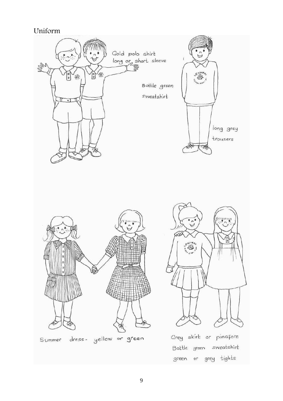# Uniform

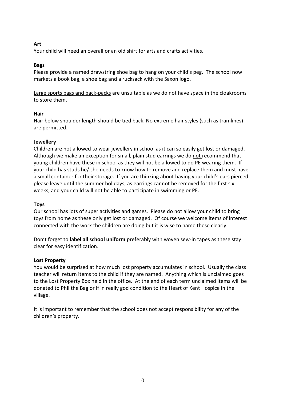# **Art**

Your child will need an overall or an old shirt for arts and crafts activities.

# **Bags**

Please provide a named drawstring shoe bag to hang on your child's peg. The school now markets a book bag, a shoe bag and a rucksack with the Saxon logo.

Large sports bags and back-packs are unsuitable as we do not have space in the cloakrooms to store them.

# **Hair**

Hair below shoulder length should be tied back. No extreme hair styles (such as tramlines) are permitted.

# **Jewellery**

Children are not allowed to wear jewellery in school as it can so easily get lost or damaged. Although we make an exception for small, plain stud earrings we do not recommend that young children have these in school as they will not be allowed to do PE wearing them. If your child has studs he/ she needs to know how to remove and replace them and must have a small container for their storage. If you are thinking about having your child's ears pierced please leave until the summer holidays; as earrings cannot be removed for the first six weeks, and your child will not be able to participate in swimming or PE.

### **Toys**

Our school has lots of super activities and games. Please do not allow your child to bring toys from home as these only get lost or damaged. Of course we welcome items of interest connected with the work the children are doing but it is wise to name these clearly.

Don't forget to **label all school uniform** preferably with woven sew-in tapes as these stay clear for easy identification.

### **Lost Property**

You would be surprised at how much lost property accumulates in school. Usually the class teacher will return items to the child if they are named. Anything which is unclaimed goes to the Lost Property Box held in the office. At the end of each term unclaimed items will be donated to Phil the Bag or if in really god condition to the Heart of Kent Hospice in the village.

It is important to remember that the school does not accept responsibility for any of the children's property.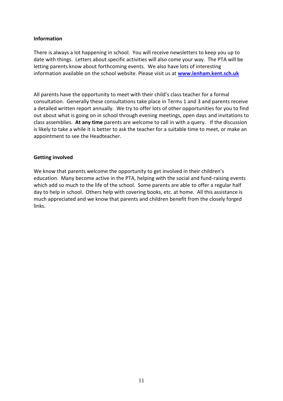# **Information**

There is always a lot happening in school. You will receive newsletters to keep you up to date with things. Letters about specific activities will also come your way. The PTA will be letting parents know about forthcoming events. We also have lots of interesting information available on the school website. Please visit us at **[www.lenham.kent.sch.uk](http://www.lenham.kent.sch.uk/)**

All parents have the opportunity to meet with their child's class teacher for a formal consultation. Generally these consultations take place in Terms 1 and 3 and parents receive a detailed written report annually. We try to offer lots of other opportunities for you to find out about what is going on in school through evening meetings, open days and invitations to class assemblies. **At any time** parents are welcome to call in with a query. If the discussion is likely to take a while it is better to ask the teacher for a suitable time to meet, or make an appointment to see the Headteacher.

### **Getting involved**

We know that parents welcome the opportunity to get involved in their children's education. Many become active in the PTA, helping with the social and fund-raising events which add so much to the life of the school. Some parents are able to offer a regular half day to help in school. Others help with covering books, etc. at home. All this assistance is much appreciated and we know that parents and children benefit from the closely forged links.